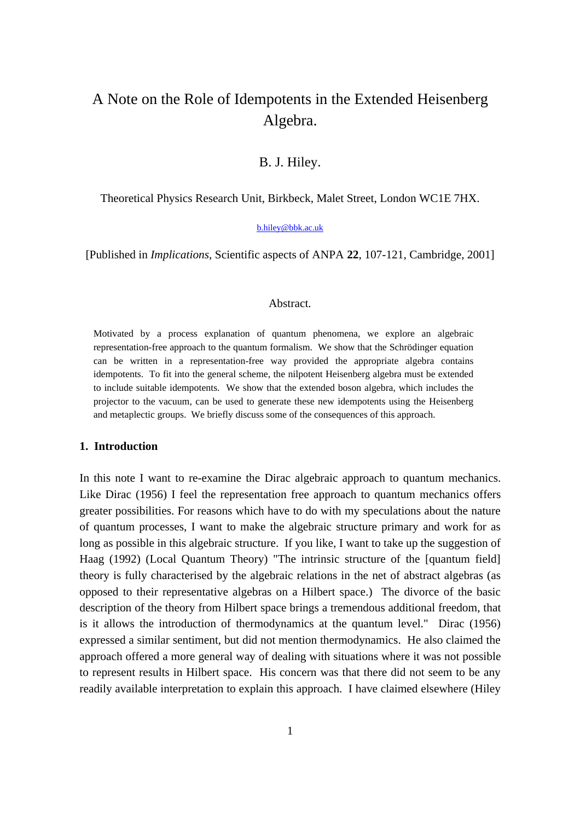# A Note on the Role of Idempotents in the Extended Heisenberg Algebra.

# B. J. Hiley.

Theoretical Physics Research Unit, Birkbeck, Malet Street, London WC1E 7HX.

#### b.hiley@bbk.ac.uk

[Published in *Implications*, Scientific aspects of ANPA **22**, 107-121, Cambridge, 2001]

#### Abstract.

Motivated by a process explanation of quantum phenomena, we explore an algebraic representation-free approach to the quantum formalism. We show that the Schrödinger equation can be written in a representation-free way provided the appropriate algebra contains idempotents. To fit into the general scheme, the nilpotent Heisenberg algebra must be extended to include suitable idempotents. We show that the extended boson algebra, which includes the projector to the vacuum, can be used to generate these new idempotents using the Heisenberg and metaplectic groups. We briefly discuss some of the consequences of this approach.

#### **1. Introduction**

In this note I want to re-examine the Dirac algebraic approach to quantum mechanics. Like Dirac (1956) I feel the representation free approach to quantum mechanics offers greater possibilities. For reasons which have to do with my speculations about the nature of quantum processes, I want to make the algebraic structure primary and work for as long as possible in this algebraic structure. If you like, I want to take up the suggestion of Haag (1992) (Local Quantum Theory) "The intrinsic structure of the [quantum field] theory is fully characterised by the algebraic relations in the net of abstract algebras (as opposed to their representative algebras on a Hilbert space.) The divorce of the basic description of the theory from Hilbert space brings a tremendous additional freedom, that is it allows the introduction of thermodynamics at the quantum level." Dirac (1956) expressed a similar sentiment, but did not mention thermodynamics. He also claimed the approach offered a more general way of dealing with situations where it was not possible to represent results in Hilbert space. His concern was that there did not seem to be any readily available interpretation to explain this approach. I have claimed elsewhere (Hiley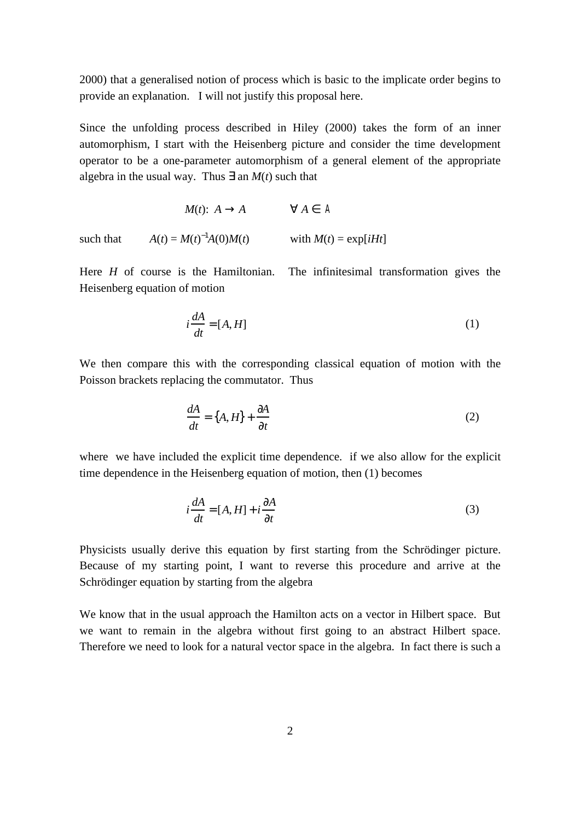2000) that a generalised notion of process which is basic to the implicate order begins to provide an explanation. I will not justify this proposal here.

Since the unfolding process described in Hiley (2000) takes the form of an inner automorphism, I start with the Heisenberg picture and consider the time development operator to be a one-parameter automorphism of a general element of the appropriate algebra in the usual way. Thus an  $M(t)$  such that

*M*(*t*): *A A A A* such that  $A(t) = M(t)^{-1}A(0)M(t)$  with  $M(t) = \exp[iHt]$ 

Here *H* of course is the Hamiltonian. The infinitesimal transformation gives the Heisenberg equation of motion

$$
i\frac{dA}{dt} = [A, H] \tag{1}
$$

We then compare this with the corresponding classical equation of motion with the Poisson brackets replacing the commutator. Thus

$$
\frac{dA}{dt} = \{A, H\} + \frac{A}{t} \tag{2}
$$

where we have included the explicit time dependence. if we also allow for the explicit time dependence in the Heisenberg equation of motion, then (1) becomes

$$
i\frac{dA}{dt} = [A, H] + i\frac{A}{t}
$$
 (3)

Physicists usually derive this equation by first starting from the Schrödinger picture. Because of my starting point, I want to reverse this procedure and arrive at the Schrödinger equation by starting from the algebra

We know that in the usual approach the Hamilton acts on a vector in Hilbert space. But we want to remain in the algebra without first going to an abstract Hilbert space. Therefore we need to look for a natural vector space in the algebra. In fact there is such a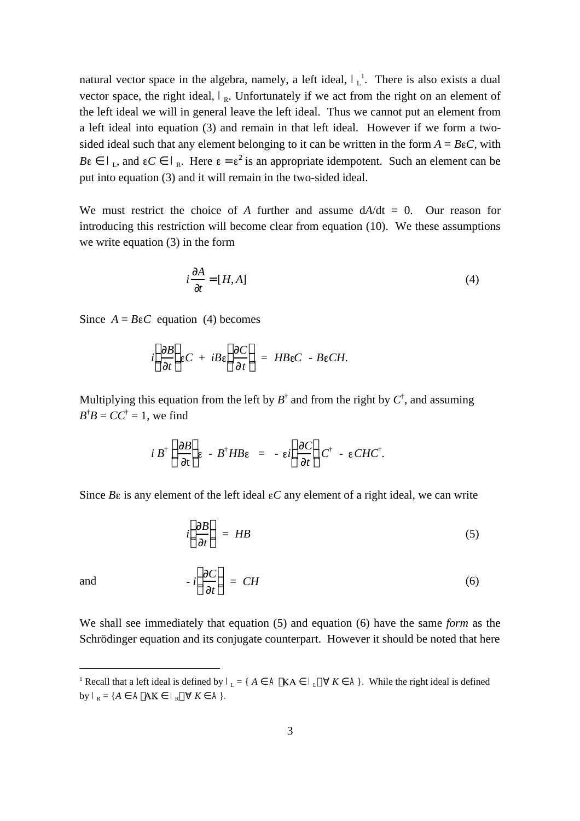natural vector space in the algebra, namely, a left ideal,  $\mathbf{I}_L^1$ . There is also exists a dual vector space, the right ideal,  $I_{R}$ . Unfortunately if we act from the right on an element of the left ideal we will in general leave the left ideal. Thus we cannot put an element from a left ideal into equation (3) and remain in that left ideal. However if we form a twosided ideal such that any element belonging to it can be written in the form  $A = BeC$ , with *B***i**. *I*<sub>L</sub>, and **iC**  $I_R$ . Here  $\epsilon = \epsilon^2$  is an appropriate idempotent. Such an element can be put into equation (3) and it will remain in the two-sided ideal.

We must restrict the choice of *A* further and assume  $dA/dt = 0$ . Our reason for introducing this restriction will become clear from equation (10). We these assumptions we write equation (3) in the form

$$
i\frac{A}{t} = [H, A] \tag{4}
$$

Since  $A = BeC$  equation (4) becomes

$$
i \frac{B}{t} \varepsilon C + iB\varepsilon \frac{C}{t} = HBeC - BeCH.
$$

Multiplying this equation from the left by  $B^{\dagger}$  and from the right by  $C^{\dagger}$ , and assuming  $B^{\dagger}B = CC^{\dagger} = 1$ , we find

$$
i B^{\dagger} \frac{B}{t} \varepsilon - B^{\dagger} H B \varepsilon = - \varepsilon i \frac{C}{t} C^{\dagger} - \varepsilon C H C^{\dagger}.
$$

Since  $B\epsilon$  is any element of the left ideal  $\epsilon C$  any element of a right ideal, we can write

$$
i \frac{B}{t} = HB \tag{5}
$$

$$
-i \frac{C}{t} = CH \tag{6}
$$

We shall see immediately that equation (5) and equation (6) have the same *form* as the Schrödinger equation and its conjugate counterpart. However it should be noted that here

and

 $\overline{a}$ 

<sup>&</sup>lt;sup>1</sup> Recall that a left ideal is defined by  $\mathbf{I}_{\text{L}}$  $K \sim A$ . While the right ideal is defined by  $J_R = \{A \quad \mathbf{A} \times \mathbf{A} \}$ .  $K \quad \mathbf{A}$ .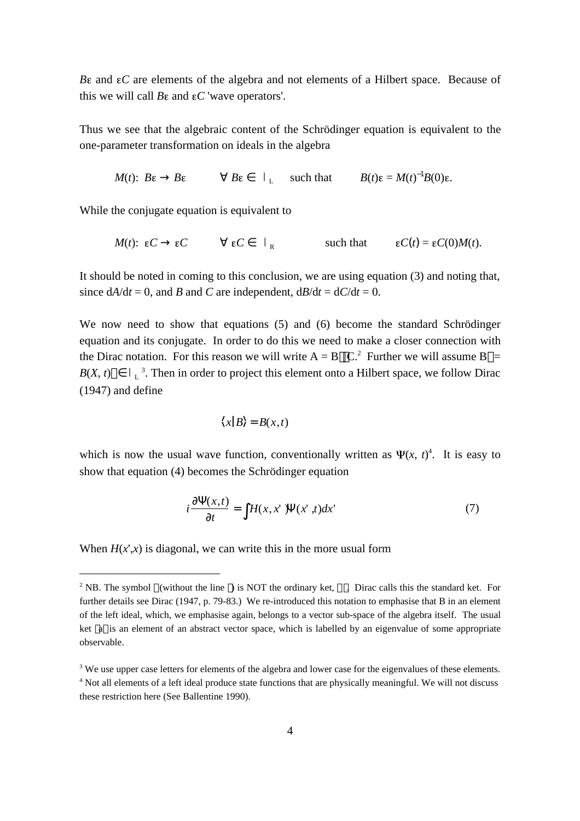*B* and *C* are elements of the algebra and not elements of a Hilbert space. Because of this we will call  $B\epsilon$  and  $\epsilon C$  'wave operators'.

Thus we see that the algebraic content of the Schrödinger equation is equivalent to the one-parameter transformation on ideals in the algebra

 $M(t)$ :  $B\epsilon$   $B\epsilon$   $B\epsilon$   $I$ such that  $B(t)\varepsilon = M(t)^{-1}B(0)\varepsilon$ .

While the conjugate equation is equivalent to

 $M(t)$ :  $\epsilon C$   $\epsilon C$   $\epsilon C$   $\ell$ such that  $\epsilon C(t) = \epsilon C(0)M(t)$ .

It should be noted in coming to this conclusion, we are using equation (3) and noting that, since  $dA/dt = 0$ , and *B* and *C* are independent,  $dB/dt = dC/dt = 0$ .

We now need to show that equations (5) and (6) become the standard Schrödinger equation and its conjugate. In order to do this we need to make a closer connection with the Dirac notation. For this reason we will write  $A = B \, C^2$  Further we will assume B =  $B(X, t)$  $3$ . Then in order to project this element onto a Hilbert space, we follow Dirac (1947) and define

$$
\langle x|B\rangle = B(x,t)
$$

which is now the usual wave function, conventionally written as  $\Psi(x, t)^4$ . It is easy to show that equation (4) becomes the Schrödinger equation

$$
i \frac{(x,t)}{t} = H(x,x') (x',t) dx'
$$
 (7)

When  $H(x^{\prime},x)$  is diagonal, we can write this in the more usual form

 $\overline{a}$ 

<sup>&</sup>lt;sup>2</sup> NB. The symbol (without the line) is NOT the ordinary ket,  $\therefore$  Dirac calls this the standard ket. For further details see Dirac (1947, p. 79-83.) We re-introduced this notation to emphasise that B in an element of the left ideal, which, we emphasise again, belongs to a vector sub-space of the algebra itself. The usual ket a is an element of an abstract vector space, which is labelled by an eigenvalue of some appropriate observable.

<sup>&</sup>lt;sup>3</sup> We use upper case letters for elements of the algebra and lower case for the eigenvalues of these elements. <sup>4</sup> Not all elements of a left ideal produce state functions that are physically meaningful. We will not discuss these restriction here (See Ballentine 1990).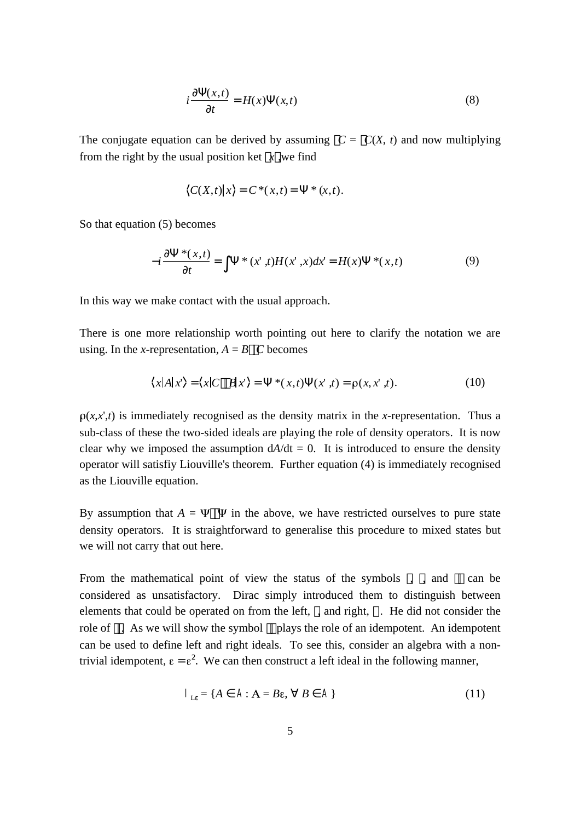$$
i \frac{(x,t)}{t} = H(x) \quad (x,t) \tag{8}
$$

The conjugate equation can be derived by assuming  $C = C(X, t)$  and now multiplying from the right by the usual position ket  $x$ , we find

$$
\langle C(X,t) | x \rangle = C^*(x,t) = * (x,t).
$$

So that equation (5) becomes

$$
-i \frac{\ast(x,t)}{t} = \ast(x',t)H(x',x)dx' = H(x) \ast(x,t) \tag{9}
$$

In this way we make contact with the usual approach.

There is one more relationship worth pointing out here to clarify the notation we are using. In the *x*-representation,  $A = B$  C becomes

$$
\langle x|A|x'\rangle = \langle x|C \quad B|x'\rangle = \quad * (x,t) \quad (x',t) = \rho(x,x',t). \tag{10}
$$

 $\rho(x,x',t)$  is immediately recognised as the density matrix in the *x*-representation. Thus a sub-class of these the two-sided ideals are playing the role of density operators. It is now clear why we imposed the assumption  $dA/dt = 0$ . It is introduced to ensure the density operator will satisfiy Liouville's theorem. Further equation (4) is immediately recognised as the Liouville equation.

By assumption that  $A = \Psi \Psi$  in the above, we have restricted ourselves to pure state density operators. It is straightforward to generalise this procedure to mixed states but we will not carry that out here.

From the mathematical point of view the status of the symbols  $\lambda$ , and  $\lambda$  can be considered as unsatisfactory. Dirac simply introduced them to distinguish between elements that could be operated on from the left, , and right, . He did not consider the role of . As we will show the symbol plays the role of an idempotent. An idempotent can be used to define left and right ideals. To see this, consider an algebra with a nontrivial idempotent,  $\epsilon = \epsilon^2$ . We can then construct a left ideal in the following manner,

$$
\mathbf{A}_{L} = \{ A \quad \mathbf{A} \cdot \mathbf{A} = B \varepsilon, \quad B \quad \mathbf{A} \}
$$
 (11)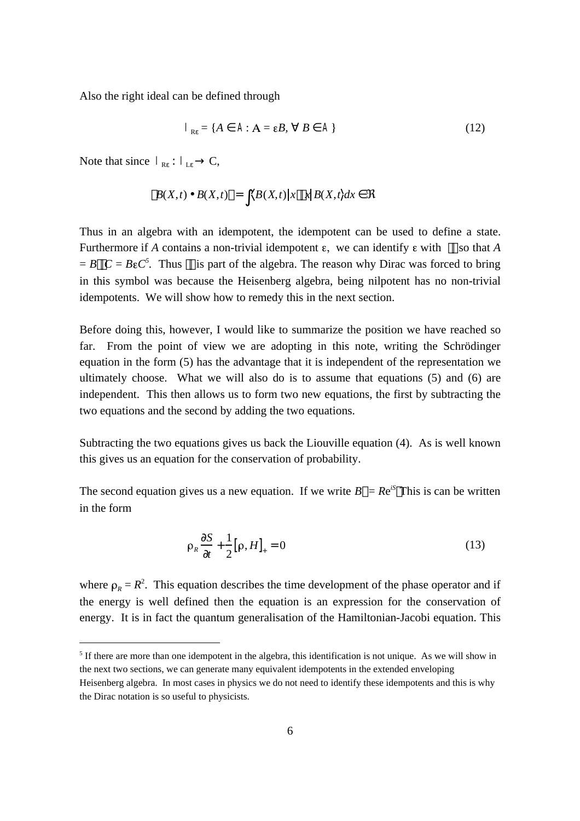Also the right ideal can be defined through

$$
\mathbf{A}_{R} = \{ A \quad \mathbf{A} \cdot A = \varepsilon B, \quad B \quad \mathbf{A} \}
$$
 (12)

Note that since  $I_R$  :  $I_L$  C,

 $\overline{a}$ 

$$
B(X,t) \cdot B(X,t) = \langle B(X,t) | x \cdot x | B(X,t) dx
$$

Thus in an algebra with an idempotent, the idempotent can be used to define a state. Furthermore if *A* contains a non-trivial idempotent  $\varepsilon$ , we can identify  $\varepsilon$  with so that *A*  $= B \quad C = B \epsilon C^5$ . Thus is part of the algebra. The reason why Dirac was forced to bring in this symbol was because the Heisenberg algebra, being nilpotent has no non-trivial idempotents. We will show how to remedy this in the next section.

Before doing this, however, I would like to summarize the position we have reached so far. From the point of view we are adopting in this note, writing the Schrödinger equation in the form (5) has the advantage that it is independent of the representation we ultimately choose. What we will also do is to assume that equations (5) and (6) are independent. This then allows us to form two new equations, the first by subtracting the two equations and the second by adding the two equations.

Subtracting the two equations gives us back the Liouville equation (4). As is well known this gives us an equation for the conservation of probability.

The second equation gives us a new equation. If we write  $B = Re^{iS}$  This is can be written in the form

$$
\rho_R \frac{S}{t} + \frac{1}{2} [\rho, H]_+ = 0 \tag{13}
$$

where  $\rho_R = R^2$ . This equation describes the time development of the phase operator and if the energy is well defined then the equation is an expression for the conservation of energy. It is in fact the quantum generalisation of the Hamiltonian-Jacobi equation. This

<sup>&</sup>lt;sup>5</sup> If there are more than one idempotent in the algebra, this identification is not unique. As we will show in the next two sections, we can generate many equivalent idempotents in the extended enveloping

Heisenberg algebra. In most cases in physics we do not need to identify these idempotents and this is why the Dirac notation is so useful to physicists.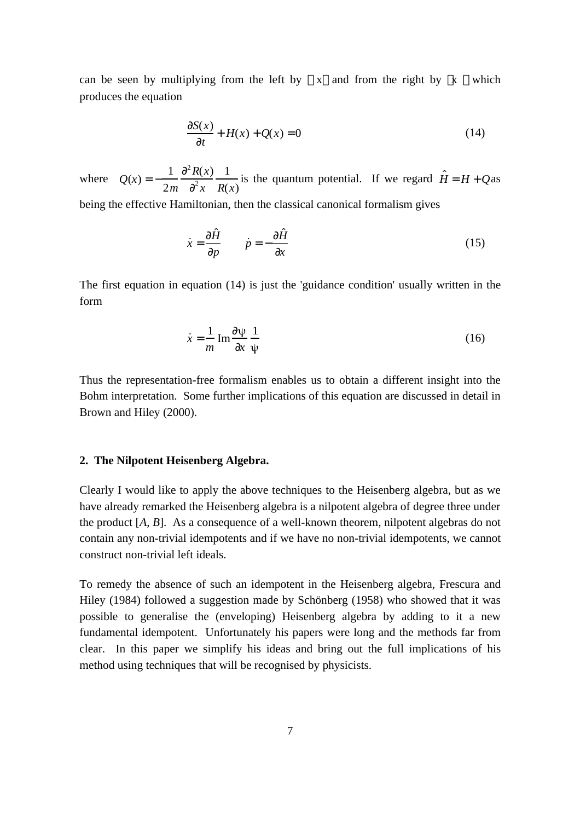can be seen by multiplying from the left by x and from the right by x which produces the equation

$$
\frac{S(x)}{t} + H(x) + Q(x) = 0
$$
 (14)

where  $Q(x) = -\frac{1}{2}$ 2*m*  $2R(x)$ 2 *x* 1 *R*(*x*) is the quantum potential. If we regard  $\hat{H} = H + Q$ as being the effective Hamiltonian, then the classical canonical formalism gives

$$
\dot{x} = \frac{\hat{H}}{p} \qquad \dot{p} = -\frac{\hat{H}}{x} \tag{15}
$$

The first equation in equation (14) is just the 'guidance condition' usually written in the form

$$
\dot{x} = \frac{1}{m} \operatorname{Im} \frac{\psi}{x} \frac{1}{\psi} \tag{16}
$$

Thus the representation-free formalism enables us to obtain a different insight into the Bohm interpretation. Some further implications of this equation are discussed in detail in Brown and Hiley (2000).

## **2. The Nilpotent Heisenberg Algebra.**

Clearly I would like to apply the above techniques to the Heisenberg algebra, but as we have already remarked the Heisenberg algebra is a nilpotent algebra of degree three under the product [*A*, *B*]. As a consequence of a well-known theorem, nilpotent algebras do not contain any non-trivial idempotents and if we have no non-trivial idempotents, we cannot construct non-trivial left ideals.

To remedy the absence of such an idempotent in the Heisenberg algebra, Frescura and Hiley (1984) followed a suggestion made by Schönberg (1958) who showed that it was possible to generalise the (enveloping) Heisenberg algebra by adding to it a new fundamental idempotent. Unfortunately his papers were long and the methods far from clear. In this paper we simplify his ideas and bring out the full implications of his method using techniques that will be recognised by physicists.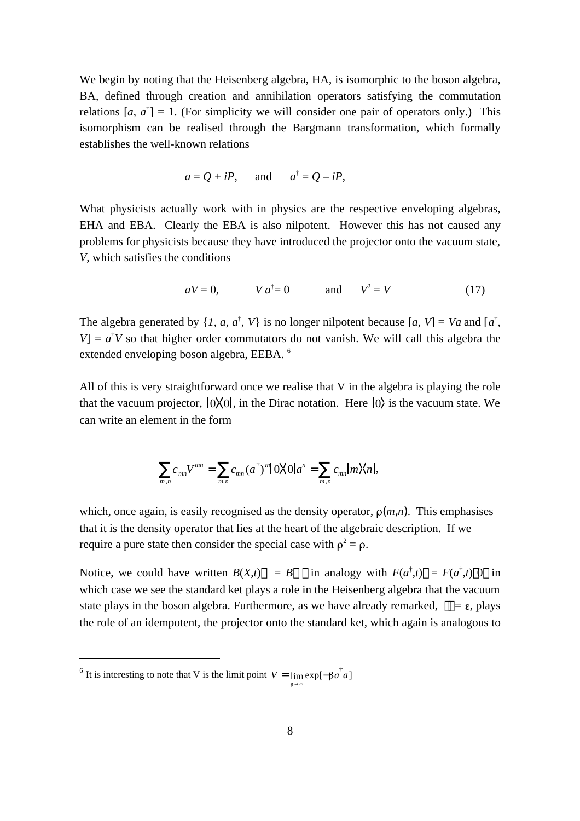We begin by noting that the Heisenberg algebra, HA, is isomorphic to the boson algebra, BA, defined through creation and annihilation operators satisfying the commutation relations  $[a, a^{\dagger}] = 1$ . (For simplicity we will consider one pair of operators only.) This isomorphism can be realised through the Bargmann transformation, which formally establishes the well-known relations

$$
a = Q + iP
$$
, and  $a^{\dagger} = Q - iP$ ,

What physicists actually work with in physics are the respective enveloping algebras, EHA and EBA. Clearly the EBA is also nilpotent. However this has not caused any problems for physicists because they have introduced the projector onto the vacuum state, *V*, which satisfies the conditions

$$
aV = 0, \qquad V a^{\dagger} = 0 \qquad \text{and} \qquad V^2 = V \tag{17}
$$

The algebra generated by  $\{I, a, a^{\dagger}, V\}$  is no longer nilpotent because  $[a, V] = Va$  and  $[a^{\dagger},$  $V = a^{\dagger}V$  so that higher order commutators do not vanish. We will call this algebra the extended enveloping boson algebra, EEBA. <sup>6</sup>

All of this is very straightforward once we realise that V in the algebra is playing the role that the vacuum projector,  $|0 \times 0|$ , in the Dirac notation. Here  $|0 \rangle$  is the vacuum state. We can write an element in the form

$$
c_{mn}V^{mn} = c_{mn}(a^{\dagger})^{m}|\,0\rangle\langle 0|a^{n} = c_{mn}|m\rangle\langle n|,
$$
  

$$
m,n
$$

which, once again, is easily recognised as the density operator,  $\rho(m,n)$ . This emphasises that it is the density operator that lies at the heart of the algebraic description. If we require a pure state then consider the special case with  $\rho^2 = \rho$ .

Notice, we could have written  $B(X,t) = B$  $f^{+}(t) = F(a^{\dagger}, t) \; 0 \; \text{in}$ which case we see the standard ket plays a role in the Heisenberg algebra that the vacuum state plays in the boson algebra. Furthermore, as we have already remarked,  $= \varepsilon$ , plays the role of an idempotent, the projector onto the standard ket, which again is analogous to

 $\overline{a}$ 

<sup>&</sup>lt;sup>6</sup> It is interesting to note that V is the limit point  $V = \lim_{h \to 0} \exp[-\beta a^{\dagger} a]$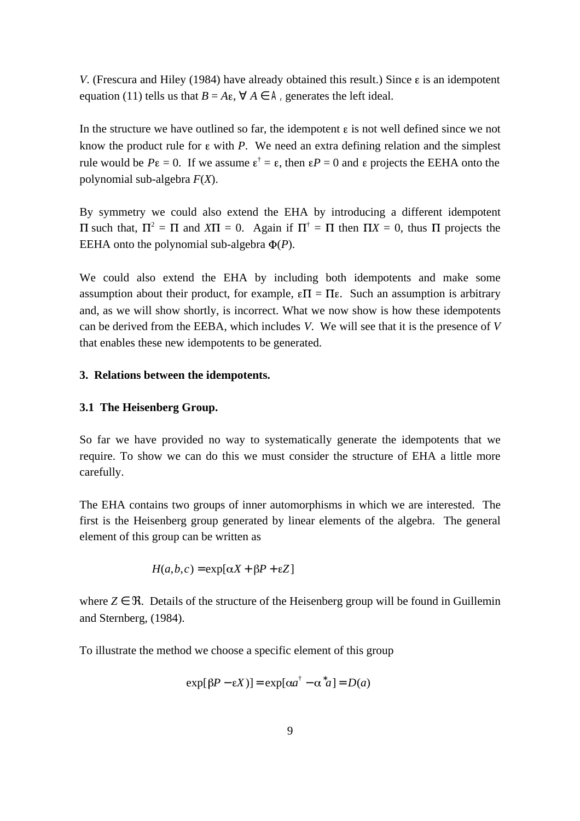*V*. (Frescura and Hiley (1984) have already obtained this result.) Since  $\varepsilon$  is an idempotent equation (11) tells us that  $B = A\varepsilon$ ,  $A \neq A$ , generates the left ideal.

In the structure we have outlined so far, the idempotent  $\varepsilon$  is not well defined since we not know the product rule for  $\varepsilon$  with *P*. We need an extra defining relation and the simplest rule would be  $P\epsilon = 0$ . If we assume  $\epsilon^{\dagger} = \epsilon$ , then  $\epsilon P = 0$  and  $\epsilon$  projects the EEHA onto the polynomial sub-algebra *F*(*X*).

By symmetry we could also extend the EHA by introducing a different idempotent such that,  $\Pi^2 = \Pi$  and  $X\Pi = 0$ . Again if  $\Pi^{\dagger} = \Pi$  then  $\Pi X = 0$ , thus  $\Pi$  projects the EEHA onto the polynomial sub-algebra  $\Phi(P)$ .

We could also extend the EHA by including both idempotents and make some assumption about their product, for example,  $\epsilon \Pi = \Pi \epsilon$ . Such an assumption is arbitrary and, as we will show shortly, is incorrect. What we now show is how these idempotents can be derived from the EEBA, which includes *V*. We will see that it is the presence of *V* that enables these new idempotents to be generated.

## **3. Relations between the idempotents.**

## **3.1 The Heisenberg Group.**

So far we have provided no way to systematically generate the idempotents that we require. To show we can do this we must consider the structure of EHA a little more carefully.

The EHA contains two groups of inner automorphisms in which we are interested. The first is the Heisenberg group generated by linear elements of the algebra. The general element of this group can be written as

$$
H(a,b,c) = \exp[\alpha X + \beta P + \varepsilon Z]
$$

where *Z* . Details of the structure of the Heisenberg group will be found in Guillemin and Sternberg, (1984).

To illustrate the method we choose a specific element of this group

$$
\exp[\beta P - \varepsilon X] = \exp[\alpha a^{\dagger} - \alpha a] = D(a)
$$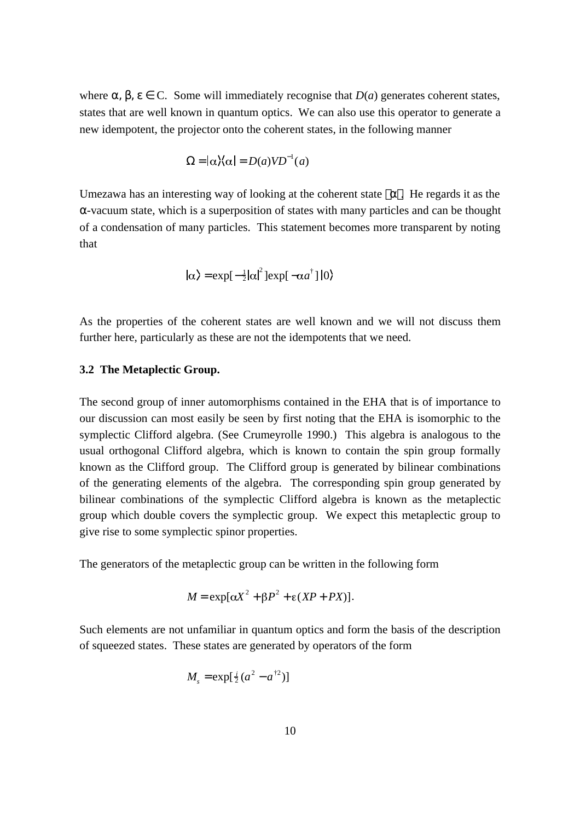where  $\mu$ , C. Some will immediately recognise that  $D(a)$  generates coherent states, states that are well known in quantum optics. We can also use this operator to generate a new idempotent, the projector onto the coherent states, in the following manner

$$
= |\alpha\rangle\langle\alpha| = D(a) V D^{-1}(a)
$$

Umezawa has an interesting way of looking at the coherent state . He regards it as the

-vacuum state, which is a superposition of states with many particles and can be thought of a condensation of many particles. This statement becomes more transparent by noting that

$$
|\alpha\rangle = \exp[-\frac{1}{2}|\alpha|^2]\exp[-\alpha a^\dagger]|0\rangle
$$

As the properties of the coherent states are well known and we will not discuss them further here, particularly as these are not the idempotents that we need.

## **3.2 The Metaplectic Group.**

The second group of inner automorphisms contained in the EHA that is of importance to our discussion can most easily be seen by first noting that the EHA is isomorphic to the symplectic Clifford algebra. (See Crumeyrolle 1990.) This algebra is analogous to the usual orthogonal Clifford algebra, which is known to contain the spin group formally known as the Clifford group. The Clifford group is generated by bilinear combinations of the generating elements of the algebra. The corresponding spin group generated by bilinear combinations of the symplectic Clifford algebra is known as the metaplectic group which double covers the symplectic group. We expect this metaplectic group to give rise to some symplectic spinor properties.

The generators of the metaplectic group can be written in the following form

$$
M = \exp[\alpha X^2 + \beta P^2 + \varepsilon (XP + PX)].
$$

Such elements are not unfamiliar in quantum optics and form the basis of the description of squeezed states. These states are generated by operators of the form

$$
M_s = \exp[\frac{i}{2}(a^2 - a^{\dagger 2})]
$$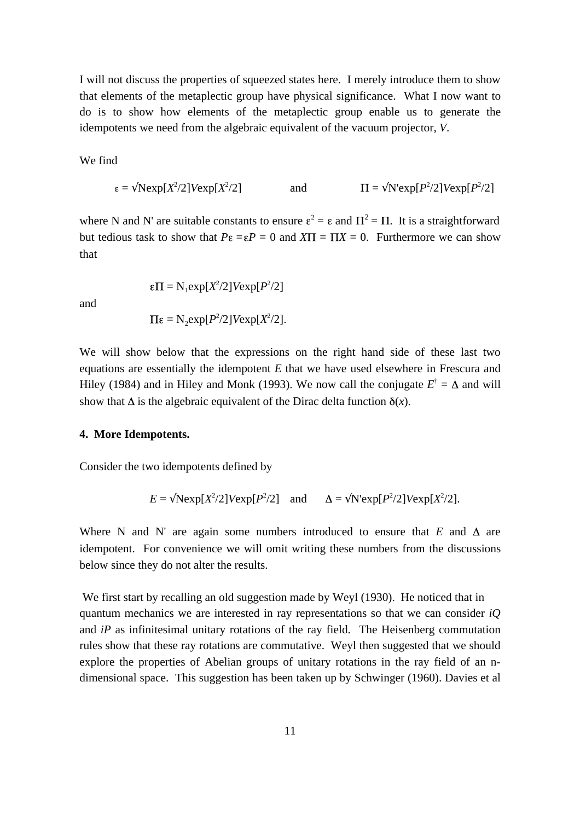I will not discuss the properties of squeezed states here. I merely introduce them to show that elements of the metaplectic group have physical significance. What I now want to do is to show how elements of the metaplectic group enable us to generate the idempotents we need from the algebraic equivalent of the vacuum projector, *V*.

We find

$$
\varepsilon = \text{Nexp}[X^2/2] \text{Vexp}[X^2/2] \qquad \text{and} \qquad \Pi = \text{N'exp}[P^2/2] \text{Vexp}[P^2/2]
$$

where N and N' are suitable constants to ensure  $\varepsilon^2 = \varepsilon$  and  $\Pi^2 = \Pi$ . It is a straightforward but tedious task to show that  $P\epsilon = \epsilon P = 0$  and  $X\Pi = \Pi X = 0$ . Furthermore we can show that

and

$$
f_{\rm{max}}
$$

 $= N_1 \exp[X^2/2] V \exp[P^2/2]$ 

$$
\Pi \varepsilon = N_2 \exp[P^2/2] \text{V} \exp[X^2/2].
$$

We will show below that the expressions on the right hand side of these last two equations are essentially the idempotent *E* that we have used elsewhere in Frescura and Hiley (1984) and in Hiley and Monk (1993). We now call the conjugate  $E^{\dagger} = \Delta$  and will show that  $\Delta$  is the algebraic equivalent of the Dirac delta function  $\delta(x)$ .

### **4. More Idempotents.**

Consider the two idempotents defined by

$$
E = \text{Nexp}[X^2/2] \text{Vexp}[P^2/2] \text{ and } \Delta = \text{N'exp}[P^2/2] \text{Vexp}[X^2/2].
$$

Where N and N' are again some numbers introduced to ensure that  $E$  and  $\Delta$  are idempotent. For convenience we will omit writing these numbers from the discussions below since they do not alter the results.

 We first start by recalling an old suggestion made by Weyl (1930). He noticed that in quantum mechanics we are interested in ray representations so that we can consider *iQ* and *iP* as infinitesimal unitary rotations of the ray field. The Heisenberg commutation rules show that these ray rotations are commutative. Weyl then suggested that we should explore the properties of Abelian groups of unitary rotations in the ray field of an ndimensional space. This suggestion has been taken up by Schwinger (1960). Davies et al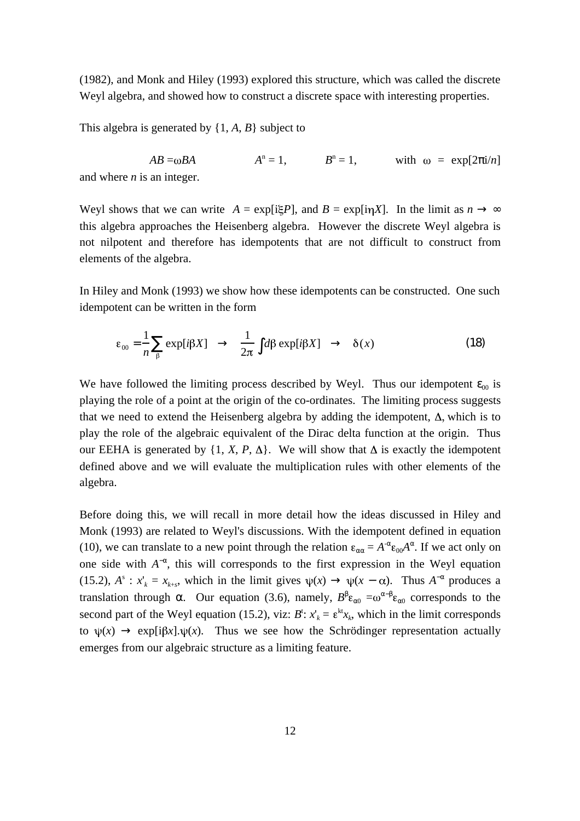(1982), and Monk and Hiley (1993) explored this structure, which was called the discrete Weyl algebra, and showed how to construct a discrete space with interesting properties.

This algebra is generated by {1, *A*, *B*} subject to

 $AB = \omega BA$   $A^n = 1$ ,  $B^n = 1$ , with  $\omega = \exp[2 \frac{1}{n}]$ and where *n* is an integer.

Weyl shows that we can write  $A = \exp[i\mathcal{E}P]$ , and  $B = \exp[i\eta X]$ . In the limit as *n* this algebra approaches the Heisenberg algebra. However the discrete Weyl algebra is not nilpotent and therefore has idempotents that are not difficult to construct from elements of the algebra.

In Hiley and Monk (1993) we show how these idempotents can be constructed. One such idempotent can be written in the form

$$
\varepsilon_{00} = \frac{1}{n} \exp[i\beta X] \qquad \frac{1}{2\pi} d\beta \exp[i\beta X] \qquad \delta(x) \tag{18}
$$

We have followed the limiting process described by Weyl. Thus our idempotent  $_{00}$  is playing the role of a point at the origin of the co-ordinates. The limiting process suggests that we need to extend the Heisenberg algebra by adding the idempotent,  $\Delta$ , which is to play the role of the algebraic equivalent of the Dirac delta function at the origin. Thus our EEHA is generated by  $\{1, X, P, \Delta\}$ . We will show that  $\Delta$  is exactly the idempotent defined above and we will evaluate the multiplication rules with other elements of the algebra.

Before doing this, we will recall in more detail how the ideas discussed in Hiley and Monk (1993) are related to Weyl's discussions. With the idempotent defined in equation (10), we can translate to a new point through the relation  $\varepsilon = A^T \varepsilon_{00} A$ . If we act only on one side with  $A^-$ , this will corresponds to the first expression in the Weyl equation (15.2),  $A^s$ :  $x'_k = x_{k+s}$ , which in the limit gives  $\psi(x)$   $\psi(x - \alpha)$ . Thus  $A^-$  produces a translation through . Our equation (3.6), namely,  $B \varepsilon_0 = \omega^- \varepsilon_0$  corresponds to the second part of the Weyl equation (15.2), viz:  $B^t$ :  $x'_{k} = \varepsilon^{kt}x_{k}$ , which in the limit corresponds to  $\psi(x)$  exp[i $\beta x$ ].  $\psi(x)$ . Thus we see how the Schrödinger representation actually emerges from our algebraic structure as a limiting feature.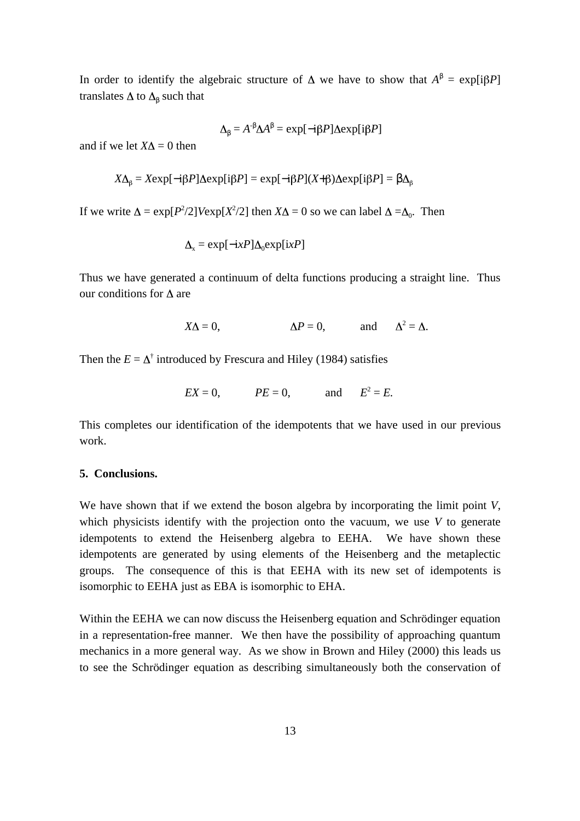In order to identify the algebraic structure of  $\Delta$  we have to show that  $A = \exp[i\beta P]$ translates  $\Delta$  to  $\Delta$  such that

$$
\Delta = A^{\dagger} \Delta A = \exp[-i\beta P] \Delta \exp[i\beta P]
$$

and if we let  $X\Lambda = 0$  then

$$
X\Delta_{\beta} = X \exp[-i\beta P] \Delta \exp[i\beta P] = \exp[-i\beta P](X + \beta) \Delta \exp[i\beta P] = \Delta_{\beta}
$$

If we write  $\Delta = \exp[P^2/2] \text{V} \exp[X^2/2]$  then  $X\Delta = 0$  so we can label  $\Delta = \Delta_0$ . Then

$$
\Delta_{\mathbf{x}} = \exp[-\mathbf{i}xP]\Delta_0 \exp[\mathbf{i}xP]
$$

Thus we have generated a continuum of delta functions producing a straight line. Thus our conditions for  $\Delta$  are

$$
X\Delta = 0, \qquad \Delta P = 0, \qquad \text{and} \qquad \Delta^2 = \Delta.
$$

Then the  $E = \Delta^{\dagger}$  introduced by Frescura and Hiley (1984) satisfies

$$
EX = 0, \qquad PE = 0, \qquad \text{and} \qquad E^2 = E.
$$

This completes our identification of the idempotents that we have used in our previous work.

#### **5. Conclusions.**

We have shown that if we extend the boson algebra by incorporating the limit point *V*, which physicists identify with the projection onto the vacuum, we use *V* to generate idempotents to extend the Heisenberg algebra to EEHA. We have shown these idempotents are generated by using elements of the Heisenberg and the metaplectic groups. The consequence of this is that EEHA with its new set of idempotents is isomorphic to EEHA just as EBA is isomorphic to EHA.

Within the EEHA we can now discuss the Heisenberg equation and Schrödinger equation in a representation-free manner. We then have the possibility of approaching quantum mechanics in a more general way. As we show in Brown and Hiley (2000) this leads us to see the Schrödinger equation as describing simultaneously both the conservation of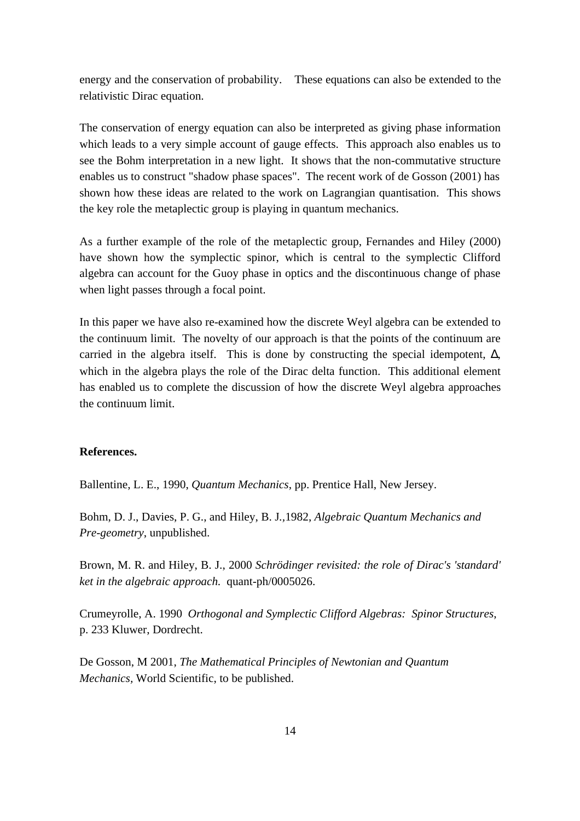energy and the conservation of probability. These equations can also be extended to the relativistic Dirac equation.

The conservation of energy equation can also be interpreted as giving phase information which leads to a very simple account of gauge effects. This approach also enables us to see the Bohm interpretation in a new light. It shows that the non-commutative structure enables us to construct "shadow phase spaces". The recent work of de Gosson (2001) has shown how these ideas are related to the work on Lagrangian quantisation. This shows the key role the metaplectic group is playing in quantum mechanics.

As a further example of the role of the metaplectic group, Fernandes and Hiley (2000) have shown how the symplectic spinor, which is central to the symplectic Clifford algebra can account for the Guoy phase in optics and the discontinuous change of phase when light passes through a focal point.

In this paper we have also re-examined how the discrete Weyl algebra can be extended to the continuum limit. The novelty of our approach is that the points of the continuum are carried in the algebra itself. This is done by constructing the special idempotent, , which in the algebra plays the role of the Dirac delta function. This additional element has enabled us to complete the discussion of how the discrete Weyl algebra approaches the continuum limit.

# **References.**

Ballentine, L. E., 1990, *Quantum Mechanics*, pp. Prentice Hall, New Jersey.

Bohm, D. J., Davies, P. G., and Hiley, B. J*.,*1982, *Algebraic Quantum Mechanics and Pre-geometry*, unpublished.

Brown, M. R. and Hiley, B. J., 2000 *Schrödinger revisited: the role of Dirac's 'standard' ket in the algebraic approach.* quant-ph/0005026.

Crumeyrolle, A. 1990 *Orthogonal and Symplectic Clifford Algebras: Spinor Structures*, p. 233 Kluwer, Dordrecht.

De Gosson, M 2001, *The Mathematical Principles of Newtonian and Quantum Mechanics,* World Scientific, to be published.